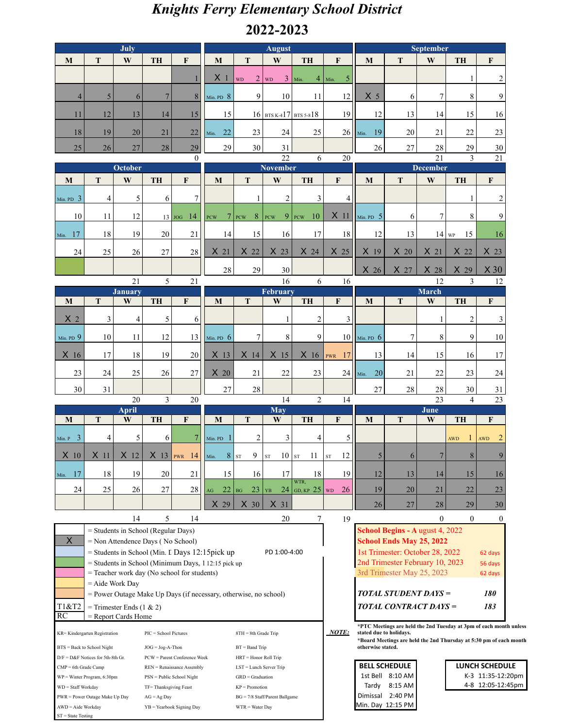## *Knights Ferry Elementary School District* **2022-2023**

|                                                                     |                                                                  | <b>July</b>                                                                                           |                           |                                                         |                  |                           | <b>August</b>                               |                                                                                               |                                                                               |                                    |                                                                    | <b>September</b>             |                    |                                     |
|---------------------------------------------------------------------|------------------------------------------------------------------|-------------------------------------------------------------------------------------------------------|---------------------------|---------------------------------------------------------|------------------|---------------------------|---------------------------------------------|-----------------------------------------------------------------------------------------------|-------------------------------------------------------------------------------|------------------------------------|--------------------------------------------------------------------|------------------------------|--------------------|-------------------------------------|
| M                                                                   | T                                                                | W                                                                                                     | <b>TH</b>                 | $\mathbf{F}$                                            | M                | $\mathbf T$               | $\mathbf{W}$                                | <b>TH</b>                                                                                     | F                                                                             | M                                  | $\mathbf T$                                                        | W                            | <b>TH</b>          | $\mathbf F$                         |
|                                                                     |                                                                  |                                                                                                       |                           |                                                         | X <sub>1</sub>   | WD                        | $2 \vert$ WD                                | $3$ Min.                                                                                      | $4 \mid$ Min.<br>$\overline{\mathbf{5}}$                                      |                                    |                                                                    |                              | 1                  | $\boldsymbol{2}$                    |
| $\overline{4}$                                                      | 5 <sup>1</sup>                                                   | 6                                                                                                     | $\overline{7}$            | 8                                                       | Min. PD $8$      | 9                         | 10                                          | 11                                                                                            | 12                                                                            | X <sub>5</sub>                     | 6                                                                  | $\overline{7}$               | 8                  | 9                                   |
| 11                                                                  | 12                                                               | 13                                                                                                    | 14                        | 15                                                      | 15               |                           |                                             | $16$ BTS K-417 BTS 5-818                                                                      | 19                                                                            | 12                                 | 13                                                                 | 14                           | 15                 | 16                                  |
| 18                                                                  | 19                                                               | 20                                                                                                    | 21                        | 22                                                      | Min. 22          | 23                        | 24                                          | 25                                                                                            |                                                                               | $26$   Min. 19                     | 20                                                                 | 21                           | 22                 | 23                                  |
| $25\,$                                                              | 26                                                               | $27\,$                                                                                                | $28\,$                    | 29                                                      | 29               | 30                        | 31                                          |                                                                                               |                                                                               | $26\,$                             | 27                                                                 | 28                           | 29                 | $30\,$                              |
| $\Omega$<br>October                                                 |                                                                  |                                                                                                       |                           | $\overline{22}$<br>6<br><b>November</b>                 |                  |                           |                                             | 20                                                                                            | $\overline{21}$<br>21<br>3<br><b>December</b>                                 |                                    |                                                                    |                              |                    |                                     |
| M                                                                   | T                                                                | W                                                                                                     | <b>TH</b>                 | $\mathbf{F}$                                            | M                | T                         | W                                           | <b>TH</b>                                                                                     | $\mathbf F$                                                                   | M                                  | T                                                                  | W                            | <b>TH</b>          | $\mathbf{F}$                        |
| Min. PD $3$                                                         | 4                                                                | 5                                                                                                     | 6                         | $\tau$                                                  |                  | $\mathbf{1}$              | $\overline{c}$                              | 3                                                                                             | 4 <sup>1</sup>                                                                |                                    |                                                                    |                              | 1                  | $\overline{c}$                      |
| 10                                                                  | 11                                                               | 12                                                                                                    |                           | $13 \mid \text{JOG} \quad 14$                           | <b>PCW</b>       | $7$ PCW<br>8 <sup>1</sup> | PCW                                         | $9$ PCW<br>10 <sup>°</sup>                                                                    | $X$ 11                                                                        | Min. PD $5$                        | 6                                                                  | 7                            | 8                  | 9                                   |
| Min. 17                                                             | 18                                                               | 19                                                                                                    | 20                        | 21                                                      | 14               | 15                        | 16                                          | 17                                                                                            | 18                                                                            | 12                                 | 13                                                                 | $14 \vert_{WP}$              | 15                 | 16                                  |
| 24                                                                  | 25                                                               | 26                                                                                                    | 27                        | 28                                                      | X <sub>21</sub>  | X <sub>22</sub>           | X <sub>23</sub>                             | X <sub>24</sub>                                                                               | X <sub>25</sub>                                                               | X <sub>19</sub>                    | $X_{20}$                                                           | X <sub>21</sub>              | X <sub>22</sub>    | X <sub>23</sub>                     |
|                                                                     |                                                                  |                                                                                                       |                           |                                                         | 28               | $29\,$                    | 30                                          |                                                                                               |                                                                               | X <sub>26</sub>                    | X 27                                                               | X <sub>28</sub>              | X <sub>29</sub>    | X30                                 |
|                                                                     |                                                                  | 21                                                                                                    | 5                         | 21                                                      |                  |                           | 16                                          | 6                                                                                             | 16                                                                            |                                    |                                                                    | 12                           | 3                  | 12                                  |
| M                                                                   | T                                                                | <b>January</b><br>W                                                                                   | <b>TH</b>                 | $\mathbf{F}$                                            | M                | T                         | February<br>W                               | <b>TH</b>                                                                                     | $\mathbf{F}$                                                                  | M                                  | T                                                                  | <b>March</b><br>$\mathbf{W}$ | <b>TH</b>          | $\mathbf{F}$                        |
| X <sub>2</sub>                                                      | 3                                                                | 4                                                                                                     | 5                         | 6                                                       |                  |                           | 1                                           | $\overline{2}$                                                                                | 3 <sup>1</sup>                                                                |                                    |                                                                    | 1                            | $\overline{c}$     | 3                                   |
| Min. PD 9                                                           | 10                                                               | 11                                                                                                    | 12                        | 13                                                      | Min. PD $\,6\,$  | 7                         | 8                                           | 9                                                                                             |                                                                               | $10$ Min. PD 6                     | 7                                                                  | 8                            | 9                  | 10                                  |
| X 16                                                                | 17                                                               | 18                                                                                                    | 19                        | 20                                                      | X <sub>13</sub>  | X <sub>14</sub>           | X <sub>15</sub>                             |                                                                                               | $X$ 16   PWR 17                                                               | 13                                 | 14                                                                 | 15                           | 16                 | 17                                  |
| 23                                                                  | 24                                                               | 25                                                                                                    | 26                        | 27                                                      | $X_{20}$         | 21                        | 22                                          | 23                                                                                            |                                                                               | $24$ Min.<br>20                    | 21                                                                 | 22                           | 23                 | 24                                  |
| 30                                                                  | 31                                                               |                                                                                                       |                           |                                                         | 27               | 28                        |                                             |                                                                                               |                                                                               | 27                                 | 28                                                                 | 28                           | 30                 | 31                                  |
| $\overline{3}$<br>14<br>20<br>$20\,$<br>April<br><b>May</b>         |                                                                  |                                                                                                       |                           |                                                         |                  | $\overline{2}$            | 14                                          | 23<br>$\overline{4}$<br>23<br>June                                                            |                                                                               |                                    |                                                                    |                              |                    |                                     |
| M                                                                   | T                                                                | W                                                                                                     | TH                        | F                                                       | M                | T                         | W                                           | <b>TH</b>                                                                                     | F                                                                             | M                                  | T                                                                  | W                            | <b>TH</b>          | F                                   |
| Min. $P$ 3                                                          | $\vert 4 \vert$                                                  | 5                                                                                                     | 6                         | $\overline{7}$                                          | Min. PD          | $\overline{2}$            | 3                                           | $\overline{4}$                                                                                | 5                                                                             |                                    |                                                                    |                              | 1<br><b>AWD</b>    | $\overline{2}$<br>AWD               |
| $X$ 10                                                              | $X$ 11                                                           | $X$ 12                                                                                                | X <sub>13</sub>           | $ _{PWR}$ 14                                            | Min.             | $8 \vert s$<br>9          | $10$ st<br>${\rm ST}$                       | $11\,$                                                                                        | 12<br>${\rm ST}$                                                              | 5                                  | 6                                                                  | $\overline{7}$               | 8                  | 9                                   |
| Min. 17                                                             | 18                                                               | 19                                                                                                    | 20                        | 21                                                      | 15               | 16                        | 17                                          | 18<br>WTR,                                                                                    | 19                                                                            | 12                                 | 13                                                                 | 14                           | 15                 | 16                                  |
| 24                                                                  | 25                                                               | 26                                                                                                    | 27                        | 28                                                      | 22<br>AG         | 23<br>BG                  | $\mathbf Y \mathbf B$                       | 24 GD, KP $25$ WD                                                                             | 26                                                                            | 19                                 | 20                                                                 | 21                           | 22                 | 23                                  |
|                                                                     |                                                                  |                                                                                                       |                           |                                                         | X 29             | $X_30$                    | X <sub>31</sub>                             | 7                                                                                             |                                                                               | 26                                 | 27                                                                 | 28<br>$\boldsymbol{0}$       | 29<br>$\mathbf{0}$ | 30<br>$\mathbf{0}$                  |
|                                                                     |                                                                  | 14                                                                                                    | 5                         | 14                                                      |                  |                           | 20                                          |                                                                                               | 19                                                                            |                                    | School Begins - A ugust 4, 2022                                    |                              |                    |                                     |
| $\overline{\mathsf{X}}$                                             |                                                                  | $=$ Students in School (Regular Days)<br>= Non Attendence Days (No School)                            |                           |                                                         |                  |                           |                                             |                                                                                               |                                                                               | School Ends May 25, 2022           |                                                                    |                              |                    |                                     |
|                                                                     |                                                                  | = Students in School (Min. I Days 12:15 pick up<br>PD 1:00-4:00                                       |                           |                                                         |                  |                           |                                             |                                                                                               | 1st Trimester: October 28, 2022<br>62 days<br>2nd Trimester February 10, 2023 |                                    |                                                                    |                              |                    |                                     |
|                                                                     |                                                                  | $=$ Students in School (Minimum Days, 1 12:15 pick up)<br>= Teacher work day (No school for students) |                           |                                                         |                  |                           |                                             |                                                                                               | 56 days<br>3rd Trimester May 25, 2023<br>62 days                              |                                    |                                                                    |                              |                    |                                     |
|                                                                     |                                                                  | $=$ Aide Work Day                                                                                     |                           |                                                         |                  |                           |                                             |                                                                                               |                                                                               |                                    |                                                                    |                              |                    |                                     |
|                                                                     | = Power Outage Make Up Days (if necessary, otherwise, no school) |                                                                                                       |                           |                                                         |                  |                           |                                             |                                                                                               |                                                                               | <b>TOTAL STUDENT DAYS =</b><br>180 |                                                                    |                              |                    |                                     |
| T1&T2<br>RC                                                         |                                                                  | = Trimester Ends $(1 & 2)$<br>= Report Cards Home                                                     |                           |                                                         |                  |                           |                                             |                                                                                               |                                                                               |                                    | <b>TOTAL CONTRACT DAYS =</b><br>183                                |                              |                    |                                     |
| KR= Kindergarten Registration<br>PIC = School Pictures              |                                                                  |                                                                                                       | 8TH = 8th Grade Trip      |                                                         |                  |                           | <b>NOTE:</b>                                | *PTC Meetings are held the 2nd Tuesday at 3pm of each month unless<br>stated due to holidays. |                                                                               |                                    |                                                                    |                              |                    |                                     |
| BTS = Back to School Night                                          |                                                                  |                                                                                                       | $JOG = Jog-A-Thon$        |                                                         | $BT = Band$ Trip |                           |                                             |                                                                                               |                                                                               | otherwise stated.                  | *Board Meetings are held the 2nd Thursday at 5:30 pm of each month |                              |                    |                                     |
| $D/F = D&F$ Notices for 5th-8th Gr.<br>PCW = Parent Conference Week |                                                                  |                                                                                                       |                           | HRT = Honor Roll Trip                                   |                  |                           |                                             |                                                                                               |                                                                               |                                    |                                                                    |                              |                    |                                     |
| $CMP = 6th$ Grade Camp<br>$WP = Winter Program, 6:30pm$             |                                                                  |                                                                                                       |                           | REN = Renaissance Assembly<br>PSN = Public School Night |                  |                           | LST = Lunch Server Trip<br>GRD = Graduation |                                                                                               |                                                                               |                                    | <b>BELL SCHEDULE</b><br>1st Bell 8:10 AM                           |                              |                    | LUNCH SCHEDULE<br>K-3 11:35-12:20pm |
| WD = Staff Workday                                                  |                                                                  |                                                                                                       | TF=Thanksgiving Feast     |                                                         |                  | $KP = P$ romotion         |                                             |                                                                                               |                                                                               | Tardy                              | 8:15 AM                                                            |                              |                    | 4-8 12:05-12:45pm                   |
| PWR = Power Outage Make Up Day                                      |                                                                  |                                                                                                       | $AG = Ag$ Day             |                                                         |                  |                           | $BG = 7/8$ Staff/Parent Ballgame            |                                                                                               |                                                                               |                                    | Dimissal 2:40 PM                                                   |                              |                    |                                     |
| AWD = Aide Workday                                                  |                                                                  |                                                                                                       | YB = Yearbook Signing Day |                                                         |                  | $WTR = Water Day$         |                                             |                                                                                               |                                                                               |                                    | Min. Day 12:15 PM                                                  |                              |                    |                                     |

ST = State Testing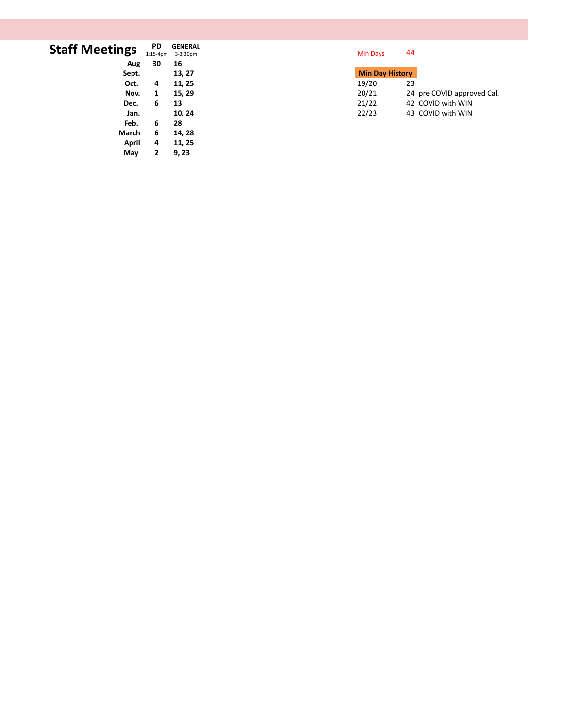| <b>Staff Meetings</b> | <b>PD</b><br>$1:15-4pm$ | <b>GENERAL</b><br>3-3:30pm | Min Days               | 44                         |
|-----------------------|-------------------------|----------------------------|------------------------|----------------------------|
| Aug                   | 30                      | 16                         |                        |                            |
| Sept.                 |                         | 13, 27                     | <b>Min Day History</b> |                            |
| Oct.                  | 4                       | 11, 25                     | 19/20                  | 23                         |
| Nov.                  | 1                       | 15, 29                     | 20/21                  | 24 pre COVID approved Cal. |
| Dec.                  | 6                       | 13                         | 21/22                  | 42 COVID with WIN          |
| Jan.                  |                         | 10, 24                     | 22/23                  | 43 COVID with WIN          |
| Feb.                  | 6                       | 28                         |                        |                            |
| March                 | 6                       | 14, 28                     |                        |                            |
| April                 | 4                       | 11, 25                     |                        |                            |

**May 2 9, 23**